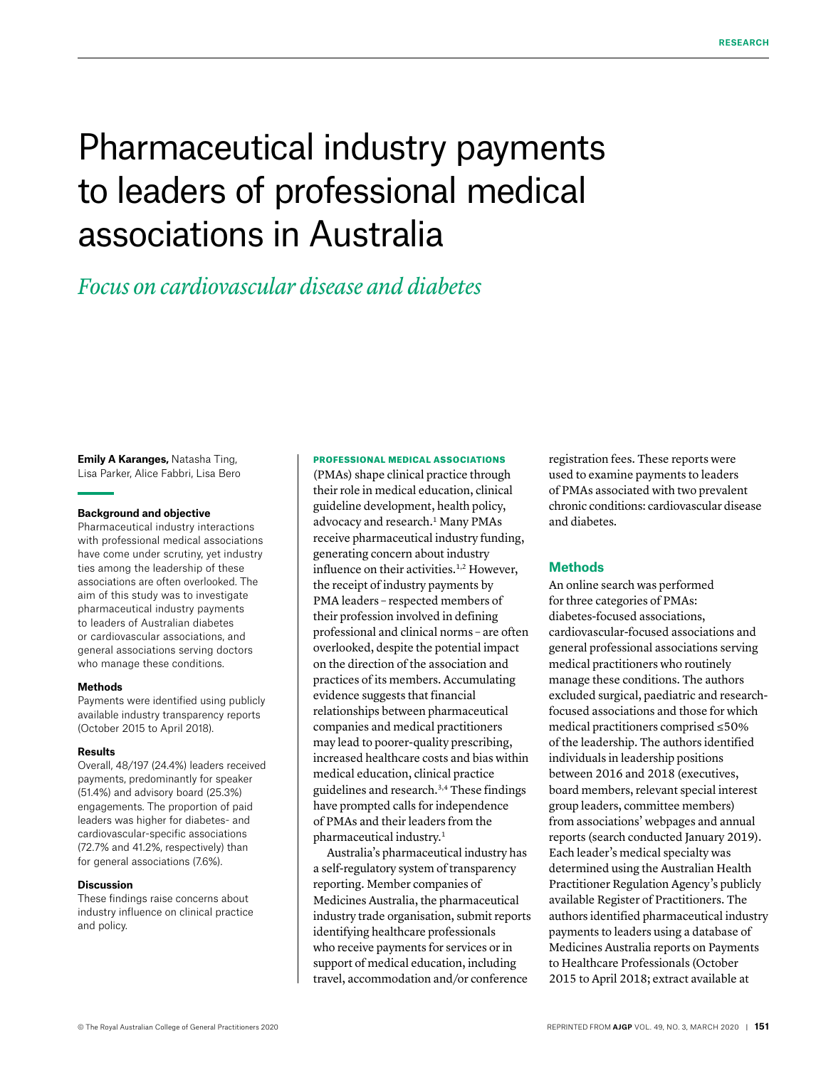# Pharmaceutical industry payments to leaders of professional medical associations in Australia

# *Focus on cardiovascular disease and diabetes*

**Emily A Karanges,** Natasha Ting, Lisa Parker, Alice Fabbri, Lisa Bero

#### **Background and objective**

Pharmaceutical industry interactions with professional medical associations have come under scrutiny, yet industry ties among the leadership of these associations are often overlooked. The aim of this study was to investigate pharmaceutical industry payments to leaders of Australian diabetes or cardiovascular associations, and general associations serving doctors who manage these conditions.

### **Methods**

Payments were identified using publicly available industry transparency reports (October 2015 to April 2018).

#### **Results**

Overall, 48/197 (24.4%) leaders received payments, predominantly for speaker (51.4%) and advisory board (25.3%) engagements. The proportion of paid leaders was higher for diabetes- and cardiovascular-specific associations (72.7% and 41.2%, respectively) than for general associations (7.6%).

## **Discussion**

These findings raise concerns about industry influence on clinical practice and policy.

### PROFESSIONAL MEDICAL ASSOCIATIONS

(PMAs) shape clinical practice through their role in medical education, clinical guideline development, health policy, advocacy and research.<sup>1</sup> Many PMAs receive pharmaceutical industry funding, generating concern about industry influence on their activities.<sup>1,2</sup> However, the receipt of industry payments by PMA leaders – respected members of their profession involved in defining professional and clinical norms – are often overlooked, despite the potential impact on the direction of the association and practices of its members. Accumulating evidence suggests that financial relationships between pharmaceutical companies and medical practitioners may lead to poorer-quality prescribing, increased healthcare costs and bias within medical education, clinical practice guidelines and research.3,4 These findings have prompted calls for independence of PMAs and their leaders from the pharmaceutical industry.1

Australia's pharmaceutical industry has a self-regulatory system of transparency reporting. Member companies of Medicines Australia, the pharmaceutical industry trade organisation, submit reports identifying healthcare professionals who receive payments for services or in support of medical education, including travel, accommodation and/or conference

registration fees. These reports were used to examine payments to leaders of PMAs associated with two prevalent chronic conditions: cardiovascular disease and diabetes.

# **Methods**

An online search was performed for three categories of PMAs: diabetes-focused associations, cardiovascular-focused associations and general professional associations serving medical practitioners who routinely manage these conditions. The authors excluded surgical, paediatric and researchfocused associations and those for which medical practitioners comprised ≤50% of the leadership. The authors identified individuals in leadership positions between 2016 and 2018 (executives, board members, relevant special interest group leaders, committee members) from associations' webpages and annual reports (search conducted January 2019). Each leader's medical specialty was determined using the Australian Health Practitioner Regulation Agency's publicly available Register of Practitioners. The authors identified pharmaceutical industry payments to leaders using a database of Medicines Australia reports on Payments to Healthcare Professionals (October 2015 to April 2018; extract available at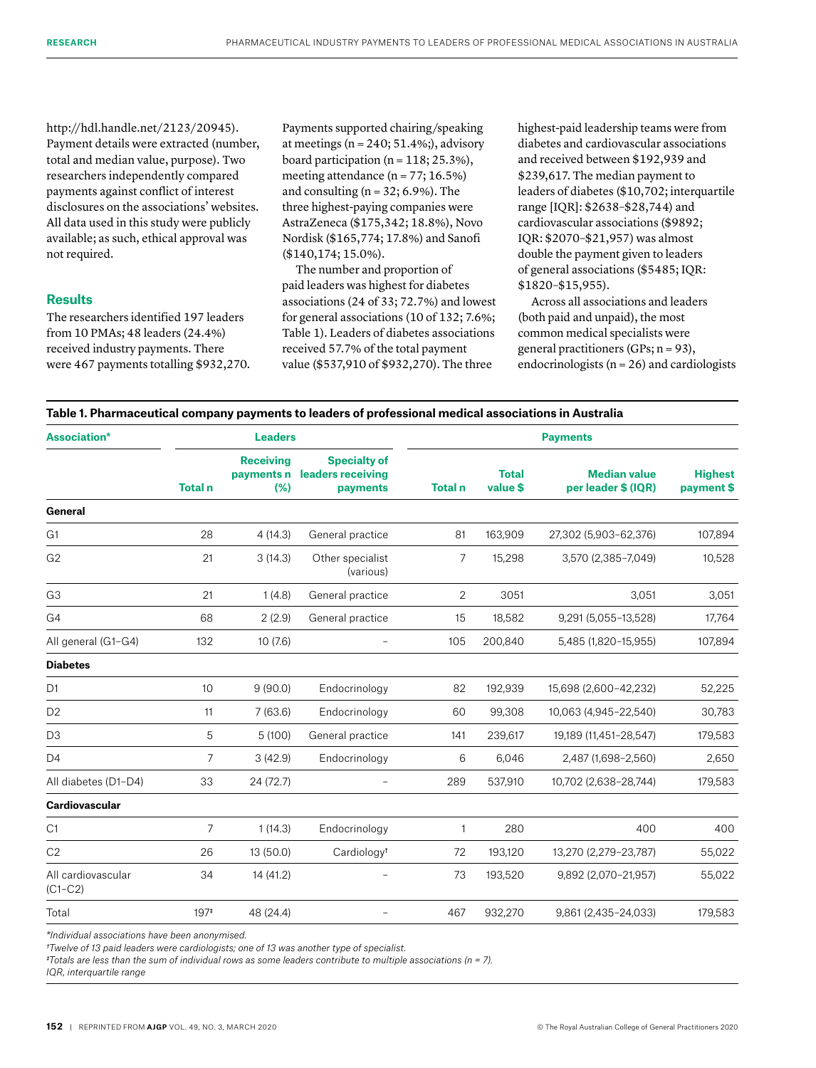http://hdl.handle.net/2123/20945). Payment details were extracted (number, total and median value, purpose). Two researchers independently compared payments against conflict of interest disclosures on the associations' websites. All data used in this study were publicly available; as such, ethical approval was not required.

# **Results**

The researchers identified 197 leaders from 10 PMAs; 48 leaders (24.4%) received industry payments. There were 467 payments totalling \$932,270. Payments supported chairing/speaking at meetings ( $n = 240$ ; 51.4%;), advisory board participation ( $n = 118$ ; 25.3%), meeting attendance  $(n = 77; 16.5%)$ and consulting  $(n = 32; 6.9\%)$ . The three highest-paying companies were AstraZeneca (\$175,342; 18.8%), Novo Nordisk (\$165,774; 17.8%) and Sanofi (\$140,174; 15.0%).

The number and proportion of paid leaders was highest for diabetes associations (24 of 33; 72.7%) and lowest for general associations (10 of 132; 7.6%; Table 1). Leaders of diabetes associations received 57.7% of the total payment value (\$537,910 of \$932,270). The three

highest-paid leadership teams were from diabetes and cardiovascular associations and received between \$192,939 and \$239,617. The median payment to leaders of diabetes (\$10,702; interquartile range [IQR]: \$2638–\$28,744) and cardiovascular associations (\$9892; IQR: \$2070–\$21,957) was almost double the payment given to leaders of general associations (\$5485; IQR: \$1820–\$15,955).

Across all associations and leaders (both paid and unpaid), the most common medical specialists were general practitioners (GPs; n = 93), endocrinologists ( $n = 26$ ) and cardiologists

# **Table 1. Pharmaceutical company payments to leaders of professional medical associations in Australia**

| <b>Association*</b>             | <b>Leaders</b> |                                       |                                                      | <b>Payments</b> |                          |                                            |                              |
|---------------------------------|----------------|---------------------------------------|------------------------------------------------------|-----------------|--------------------------|--------------------------------------------|------------------------------|
|                                 | <b>Total n</b> | <b>Receiving</b><br>payments n<br>(%) | <b>Specialty of</b><br>leaders receiving<br>payments | <b>Total n</b>  | <b>Total</b><br>value \$ | <b>Median value</b><br>per leader \$ (IQR) | <b>Highest</b><br>payment \$ |
| General                         |                |                                       |                                                      |                 |                          |                                            |                              |
| G <sub>1</sub>                  | 28             | 4(14.3)                               | General practice                                     | 81              | 163,909                  | 27,302 (5,903-62,376)                      | 107,894                      |
| G <sub>2</sub>                  | 21             | 3(14.3)                               | Other specialist<br>(various)                        | 7               | 15,298                   | 3,570 (2,385-7,049)                        | 10,528                       |
| G <sub>3</sub>                  | 21             | 1(4.8)                                | General practice                                     | 2               | 3051                     | 3,051                                      | 3,051                        |
| G4                              | 68             | 2(2.9)                                | General practice                                     | 15              | 18,582                   | 9,291 (5,055-13,528)                       | 17,764                       |
| All general (G1-G4)             | 132            | 10(7.6)                               | $\overline{\phantom{0}}$                             | 105             | 200.840                  | 5,485 (1,820-15,955)                       | 107,894                      |
| <b>Diabetes</b>                 |                |                                       |                                                      |                 |                          |                                            |                              |
| D <sub>1</sub>                  | 10             | 9(90.0)                               | Endocrinology                                        | 82              | 192,939                  | 15,698 (2,600-42,232)                      | 52,225                       |
| D <sub>2</sub>                  | 11             | 7(63.6)                               | Endocrinology                                        | 60              | 99,308                   | 10,063 (4,945-22,540)                      | 30,783                       |
| D <sub>3</sub>                  | 5              | 5(100)                                | General practice                                     | 141             | 239,617                  | 19,189 (11,451-28,547)                     | 179,583                      |
| D4                              | $\overline{7}$ | 3(42.9)                               | Endocrinology                                        | 6               | 6,046                    | 2,487 (1,698-2,560)                        | 2,650                        |
| All diabetes (D1-D4)            | 33             | 24 (72.7)                             |                                                      | 289             | 537,910                  | 10,702 (2,638-28,744)                      | 179,583                      |
| <b>Cardiovascular</b>           |                |                                       |                                                      |                 |                          |                                            |                              |
| C1                              | $\overline{7}$ | 1(14.3)                               | Endocrinology                                        | 1               | 280                      | 400                                        | 400                          |
| C <sub>2</sub>                  | 26             | 13 (50.0)                             | Cardiology <sup>t</sup>                              | 72              | 193,120                  | 13,270 (2,279-23,787)                      | 55,022                       |
| All cardiovascular<br>$(C1-C2)$ | 34             | 14 (41.2)                             |                                                      | 73              | 193,520                  | 9,892 (2,070-21,957)                       | 55,022                       |
| Total                           | $197*$         | 48 (24.4)                             |                                                      | 467             | 932,270                  | 9,861 (2,435-24,033)                       | 179,583                      |

*\*Individual associations have been anonymised.*

*†Twelve of 13 paid leaders were cardiologists; one of 13 was another type of specialist.*

*‡Totals are less than the sum of individual rows as some leaders contribute to multiple associations (n = 7).* 

*IQR, interquartile range*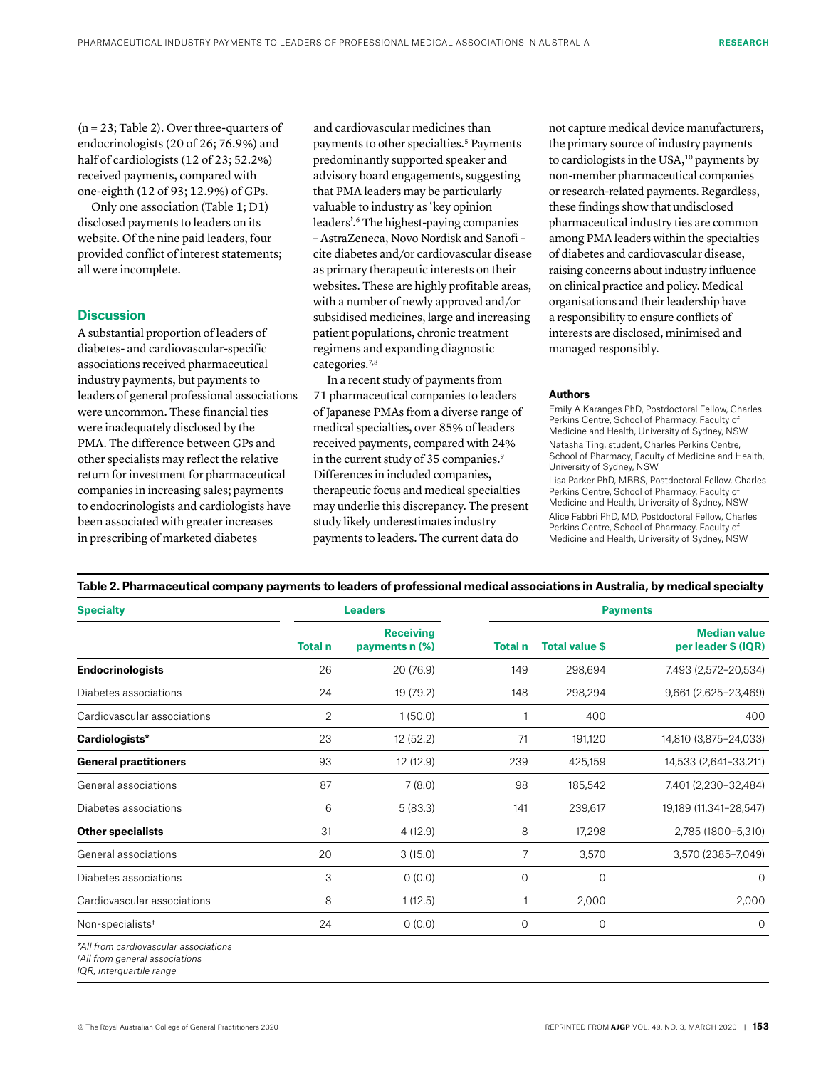(n = 23; Table 2). Over three-quarters of endocrinologists (20 of 26; 76.9%) and half of cardiologists (12 of 23; 52.2%) received payments, compared with one-eighth (12 of 93; 12.9%) of GPs.

Only one association (Table 1; D1) disclosed payments to leaders on its website. Of the nine paid leaders, four provided conflict of interest statements; all were incomplete.

# **Discussion**

A substantial proportion of leaders of diabetes- and cardiovascular-specific associations received pharmaceutical industry payments, but payments to leaders of general professional associations were uncommon. These financial ties were inadequately disclosed by the PMA. The difference between GPs and other specialists may reflect the relative return for investment for pharmaceutical companies in increasing sales; payments to endocrinologists and cardiologists have been associated with greater increases in prescribing of marketed diabetes

and cardiovascular medicines than payments to other specialties.<sup>5</sup> Payments predominantly supported speaker and advisory board engagements, suggesting that PMA leaders may be particularly valuable to industry as 'key opinion leaders'.6 The highest-paying companies – AstraZeneca, Novo Nordisk and Sanofi – cite diabetes and/or cardiovascular disease as primary therapeutic interests on their websites. These are highly profitable areas, with a number of newly approved and/or subsidised medicines, large and increasing patient populations, chronic treatment regimens and expanding diagnostic categories.<sup>7,8</sup>

In a recent study of payments from 71 pharmaceutical companies to leaders of Japanese PMAs from a diverse range of medical specialties, over 85% of leaders received payments, compared with 24% in the current study of 35 companies.<sup>9</sup> Differences in included companies, therapeutic focus and medical specialties may underlie this discrepancy. The present study likely underestimates industry payments to leaders. The current data do

not capture medical device manufacturers, the primary source of industry payments to cardiologists in the USA,<sup>10</sup> payments by non-member pharmaceutical companies or research-related payments. Regardless, these findings show that undisclosed pharmaceutical industry ties are common among PMA leaders within the specialties of diabetes and cardiovascular disease, raising concerns about industry influence on clinical practice and policy. Medical organisations and their leadership have a responsibility to ensure conflicts of interests are disclosed, minimised and managed responsibly.

### **Authors**

Emily A Karanges PhD, Postdoctoral Fellow, Charles Perkins Centre, School of Pharmacy, Faculty of Medicine and Health, University of Sydney, NSW Natasha Ting, student, Charles Perkins Centre, School of Pharmacy, Faculty of Medicine and Health, University of Sydney, NSW Lisa Parker PhD, MBBS, Postdoctoral Fellow, Charles Perkins Centre, School of Pharmacy, Faculty of Medicine and Health, University of Sydney, NSW Alice Fabbri PhD, MD, Postdoctoral Fellow, Charles Perkins Centre, School of Pharmacy, Faculty of Medicine and Health, University of Sydney, NSW

# **Table 2. Pharmaceutical company payments to leaders of professional medical associations in Australia, by medical specialty**

| <b>Specialty</b>                                                                                                                                                                                                                      |                | <b>Leaders</b>                     | <b>Payments</b> |                       |                                            |  |
|---------------------------------------------------------------------------------------------------------------------------------------------------------------------------------------------------------------------------------------|----------------|------------------------------------|-----------------|-----------------------|--------------------------------------------|--|
|                                                                                                                                                                                                                                       | <b>Total</b> n | <b>Receiving</b><br>payments n (%) | <b>Total</b> n  | <b>Total value \$</b> | <b>Median value</b><br>per leader \$ (IQR) |  |
| <b>Endocrinologists</b>                                                                                                                                                                                                               | 26             | 20 (76.9)                          | 149             | 298,694               | 7,493 (2,572-20,534)                       |  |
| Diabetes associations                                                                                                                                                                                                                 | 24             | 19 (79.2)                          | 148             | 298,294               | 9,661 (2,625-23,469)                       |  |
| Cardiovascular associations                                                                                                                                                                                                           | $\overline{2}$ | 1(50.0)                            |                 | 400                   | 400                                        |  |
| Cardiologists*                                                                                                                                                                                                                        | 23             | 12 (52.2)                          | 71              | 191,120               | 14,810 (3,875-24,033)                      |  |
| <b>General practitioners</b>                                                                                                                                                                                                          | 93             | 12 (12.9)                          | 239             | 425,159               | 14,533 (2,641-33,211)                      |  |
| General associations                                                                                                                                                                                                                  | 87             | 7(8.0)                             | 98              | 185,542               | 7,401 (2,230-32,484)                       |  |
| Diabetes associations                                                                                                                                                                                                                 | 6              | 5(83.3)                            | 141             | 239,617               | 19,189 (11,341-28,547)                     |  |
| <b>Other specialists</b>                                                                                                                                                                                                              | 31             | 4 (12.9)                           | 8               | 17,298                | 2,785 (1800-5,310)                         |  |
| General associations                                                                                                                                                                                                                  | 20             | 3(15.0)                            | 7               | 3,570                 | 3,570 (2385-7,049)                         |  |
| Diabetes associations                                                                                                                                                                                                                 | 3              | 0(0.0)                             | $\mathbf{O}$    | $\mathbf 0$           | 0                                          |  |
| Cardiovascular associations                                                                                                                                                                                                           | 8              | 1(12.5)                            |                 | 2,000                 | 2,000                                      |  |
| Non-specialists <sup>t</sup>                                                                                                                                                                                                          | 24             | 0(0.0)                             | 0               | $\mathbf 0$           | $\mathbf{O}$                               |  |
| $\frac{1}{2}$ and $\frac{1}{2}$ are the contract of the contract of the contract of the contract of the contract of the contract of the contract of the contract of the contract of the contract of the contract of the contract of t |                |                                    |                 |                       |                                            |  |

*\*All from cardiovascular associations*

*†All from general associations*

*IQR, interquartile range*